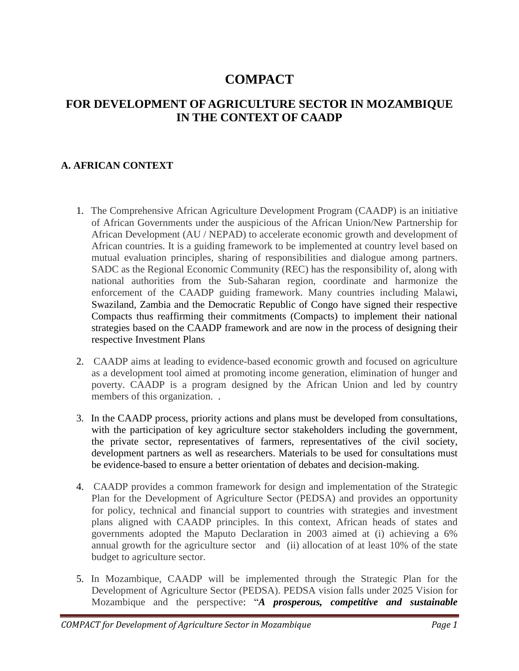# **COMPACT**

## **FOR DEVELOPMENT OF AGRICULTURE SECTOR IN MOZAMBIQUE IN THE CONTEXT OF CAADP**

## **A. AFRICAN CONTEXT**

- 1. The Comprehensive African Agriculture Development Program (CAADP) is an initiative of African Governments under the auspicious of the African Union/New Partnership for African Development (AU / NEPAD) to accelerate economic growth and development of African countries. It is a guiding framework to be implemented at country level based on mutual evaluation principles, sharing of responsibilities and dialogue among partners. SADC as the Regional Economic Community (REC) has the responsibility of, along with national authorities from the Sub-Saharan region, coordinate and harmonize the enforcement of the CAADP guiding framework. Many countries including Malawi, Swaziland, Zambia and the Democratic Republic of Congo have signed their respective Compacts thus reaffirming their commitments (Compacts) to implement their national strategies based on the CAADP framework and are now in the process of designing their respective Investment Plans
- 2. CAADP aims at leading to evidence-based economic growth and focused on agriculture as a development tool aimed at promoting income generation, elimination of hunger and poverty. CAADP is a program designed by the African Union and led by country members of this organization. .
- 3. In the CAADP process, priority actions and plans must be developed from consultations, with the participation of key agriculture sector stakeholders including the government, the private sector, representatives of farmers, representatives of the civil society, development partners as well as researchers. Materials to be used for consultations must be evidence-based to ensure a better orientation of debates and decision-making.
- 4. CAADP provides a common framework for design and implementation of the Strategic Plan for the Development of Agriculture Sector (PEDSA) and provides an opportunity for policy, technical and financial support to countries with strategies and investment plans aligned with CAADP principles. In this context, African heads of states and governments adopted the Maputo Declaration in 2003 aimed at (i) achieving a 6% annual growth for the agriculture sector and (ii) allocation of at least 10% of the state budget to agriculture sector.
- 5. In Mozambique, CAADP will be implemented through the Strategic Plan for the Development of Agriculture Sector (PEDSA). PEDSA vision falls under 2025 Vision for Mozambique and the perspective: "*A prosperous, competitive and sustainable*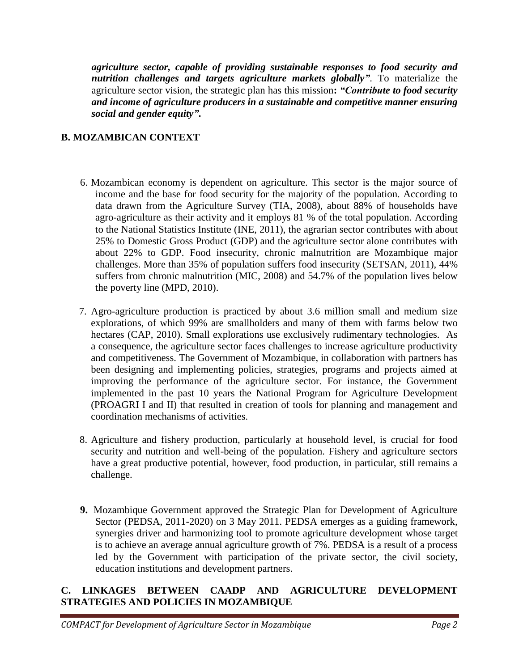*agriculture sector, capable of providing sustainable responses to food security and nutrition challenges and targets agriculture markets globally"*. To materialize the agriculture sector vision, the strategic plan has this mission**:** *"Contribute to food security and income of agriculture producers in a sustainable and competitive manner ensuring social and gender equity"***.**

## **B. MOZAMBICAN CONTEXT**

- 6. Mozambican economy is dependent on agriculture. This sector is the major source of income and the base for food security for the majority of the population. According to data drawn from the Agriculture Survey (TIA, 2008), about 88% of households have agro-agriculture as their activity and it employs 81 % of the total population. According to the National Statistics Institute (INE, 2011), the agrarian sector contributes with about 25% to Domestic Gross Product (GDP) and the agriculture sector alone contributes with about 22% to GDP. Food insecurity, chronic malnutrition are Mozambique major challenges. More than 35% of population suffers food insecurity (SETSAN, 2011), 44% suffers from chronic malnutrition (MIC, 2008) and 54.7% of the population lives below the poverty line (MPD, 2010).
- 7. Agro-agriculture production is practiced by about 3.6 million small and medium size explorations, of which 99% are smallholders and many of them with farms below two hectares (CAP, 2010). Small explorations use exclusively rudimentary technologies. As a consequence, the agriculture sector faces challenges to increase agriculture productivity and competitiveness. The Government of Mozambique, in collaboration with partners has been designing and implementing policies, strategies, programs and projects aimed at improving the performance of the agriculture sector. For instance, the Government implemented in the past 10 years the National Program for Agriculture Development (PROAGRI I and II) that resulted in creation of tools for planning and management and coordination mechanisms of activities.
- 8. Agriculture and fishery production, particularly at household level, is crucial for food security and nutrition and well-being of the population. Fishery and agriculture sectors have a great productive potential, however, food production, in particular, still remains a challenge.
- **9.** Mozambique Government approved the Strategic Plan for Development of Agriculture Sector (PEDSA, 2011-2020) on 3 May 2011. PEDSA emerges as a guiding framework, synergies driver and harmonizing tool to promote agriculture development whose target is to achieve an average annual agriculture growth of 7%. PEDSA is a result of a process led by the Government with participation of the private sector, the civil society, education institutions and development partners.

## **C. LINKAGES BETWEEN CAADP AND AGRICULTURE DEVELOPMENT STRATEGIES AND POLICIES IN MOZAMBIQUE**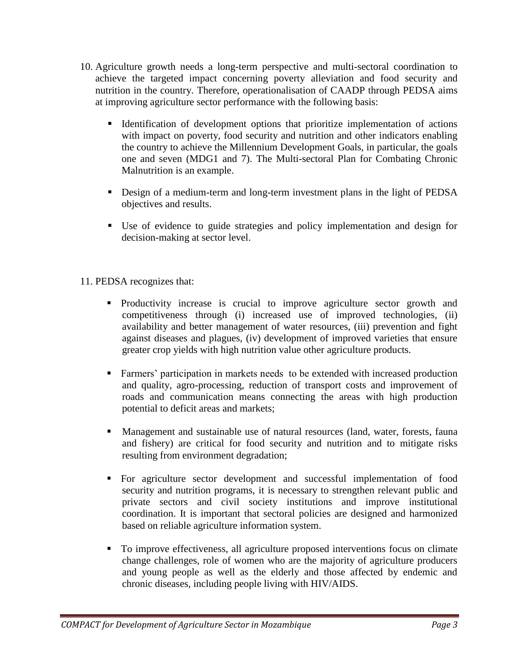- 10. Agriculture growth needs a long-term perspective and multi-sectoral coordination to achieve the targeted impact concerning poverty alleviation and food security and nutrition in the country. Therefore, operationalisation of CAADP through PEDSA aims at improving agriculture sector performance with the following basis:
	- Identification of development options that prioritize implementation of actions with impact on poverty, food security and nutrition and other indicators enabling the country to achieve the Millennium Development Goals, in particular, the goals one and seven (MDG1 and 7). The Multi-sectoral Plan for Combating Chronic Malnutrition is an example.
	- Design of a medium-term and long-term investment plans in the light of PEDSA objectives and results.
	- Use of evidence to guide strategies and policy implementation and design for decision-making at sector level.

## 11. PEDSA recognizes that:

- **Productivity increase is crucial to improve agriculture sector growth and** competitiveness through (i) increased use of improved technologies, (ii) availability and better management of water resources, (iii) prevention and fight against diseases and plagues, (iv) development of improved varieties that ensure greater crop yields with high nutrition value other agriculture products.
- Farmers' participation in markets needs to be extended with increased production and quality, agro-processing, reduction of transport costs and improvement of roads and communication means connecting the areas with high production potential to deficit areas and markets;
- Management and sustainable use of natural resources (land, water, forests, fauna and fishery) are critical for food security and nutrition and to mitigate risks resulting from environment degradation;
- For agriculture sector development and successful implementation of food security and nutrition programs, it is necessary to strengthen relevant public and private sectors and civil society institutions and improve institutional coordination. It is important that sectoral policies are designed and harmonized based on reliable agriculture information system.
- To improve effectiveness, all agriculture proposed interventions focus on climate change challenges, role of women who are the majority of agriculture producers and young people as well as the elderly and those affected by endemic and chronic diseases, including people living with HIV/AIDS.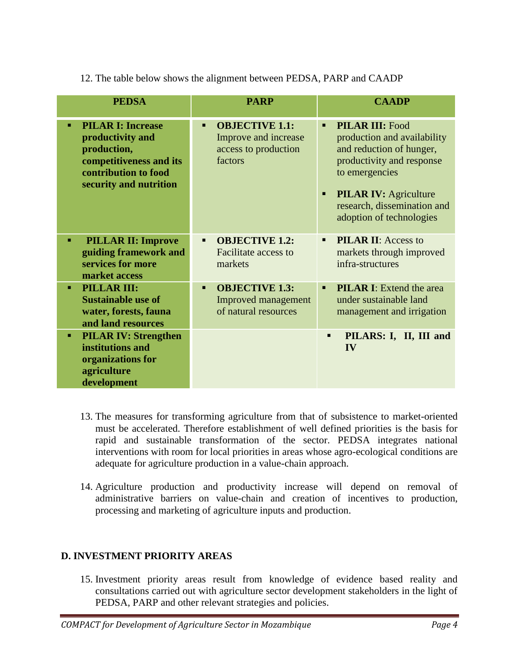12. The table below shows the alignment between PEDSA, PARP and CAADP

| <b>PEDSA</b>                                                                                                                             | <b>PARP</b>                                                                            | <b>CAADP</b>                                                                                                                                                                                                                                       |
|------------------------------------------------------------------------------------------------------------------------------------------|----------------------------------------------------------------------------------------|----------------------------------------------------------------------------------------------------------------------------------------------------------------------------------------------------------------------------------------------------|
| <b>PILAR I: Increase</b><br>productivity and<br>production,<br>competitiveness and its<br>contribution to food<br>security and nutrition | <b>OBJECTIVE 1.1:</b><br>п.<br>Improve and increase<br>access to production<br>factors | <b>PILAR III: Food</b><br>$\blacksquare$<br>production and availability<br>and reduction of hunger,<br>productivity and response<br>to emergencies<br><b>PILAR IV:</b> Agriculture<br>٠<br>research, dissemination and<br>adoption of technologies |
| <b>PILLAR II: Improve</b><br>٠<br>guiding framework and<br>services for more<br>market access                                            | <b>OBJECTIVE 1.2:</b><br>$\blacksquare$<br><b>Facilitate access to</b><br>markets      | <b>PILAR II:</b> Access to<br>$\blacksquare$<br>markets through improved<br>infra-structures                                                                                                                                                       |
| PILLAR III:<br>п.<br><b>Sustainable use of</b><br>water, forests, fauna<br>and land resources                                            | <b>OBJECTIVE 1.3:</b><br><b>Improved management</b><br>of natural resources            | <b>PILAR I:</b> Extend the area<br>$\blacksquare$<br>under sustainable land<br>management and irrigation                                                                                                                                           |
| <b>PILAR IV: Strengthen</b><br>٠.<br>institutions and<br>organizations for<br>agriculture<br>development                                 |                                                                                        | PILARS: I, II, III and<br>п<br>IV                                                                                                                                                                                                                  |

- 13. The measures for transforming agriculture from that of subsistence to market-oriented must be accelerated. Therefore establishment of well defined priorities is the basis for rapid and sustainable transformation of the sector. PEDSA integrates national interventions with room for local priorities in areas whose agro-ecological conditions are adequate for agriculture production in a value-chain approach.
- 14. Agriculture production and productivity increase will depend on removal of administrative barriers on value-chain and creation of incentives to production, processing and marketing of agriculture inputs and production.

## **D. INVESTMENT PRIORITY AREAS**

15. Investment priority areas result from knowledge of evidence based reality and consultations carried out with agriculture sector development stakeholders in the light of PEDSA, PARP and other relevant strategies and policies.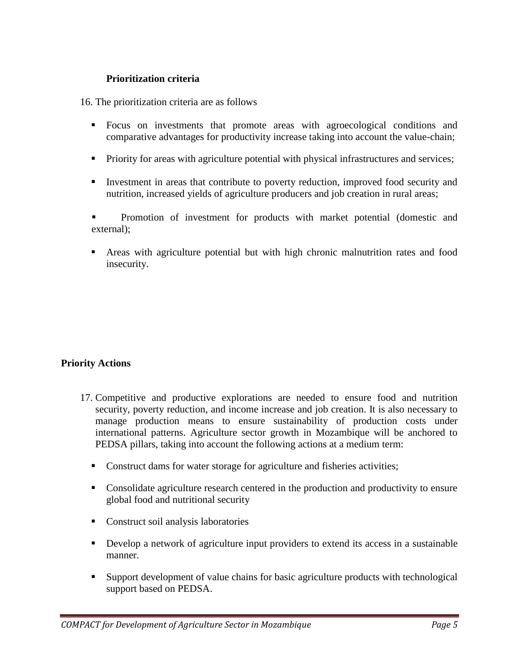#### **Prioritization criteria**

16. The prioritization criteria are as follows

- Focus on investments that promote areas with agroecological conditions and comparative advantages for productivity increase taking into account the value-chain;
- Priority for areas with agriculture potential with physical infrastructures and services;
- Investment in areas that contribute to poverty reduction, improved food security and nutrition, increased yields of agriculture producers and job creation in rural areas;

 Promotion of investment for products with market potential (domestic and external);

 Areas with agriculture potential but with high chronic malnutrition rates and food insecurity.

## **Priority Actions**

- 17. Competitive and productive explorations are needed to ensure food and nutrition security, poverty reduction, and income increase and job creation. It is also necessary to manage production means to ensure sustainability of production costs under international patterns. Agriculture sector growth in Mozambique will be anchored to PEDSA pillars, taking into account the following actions at a medium term:
	- Construct dams for water storage for agriculture and fisheries activities;
	- **Consolidate agriculture research centered in the production and productivity to ensure** global food and nutritional security
	- **Construct soil analysis laboratories**
	- Develop a network of agriculture input providers to extend its access in a sustainable manner.
	- Support development of value chains for basic agriculture products with technological support based on PEDSA.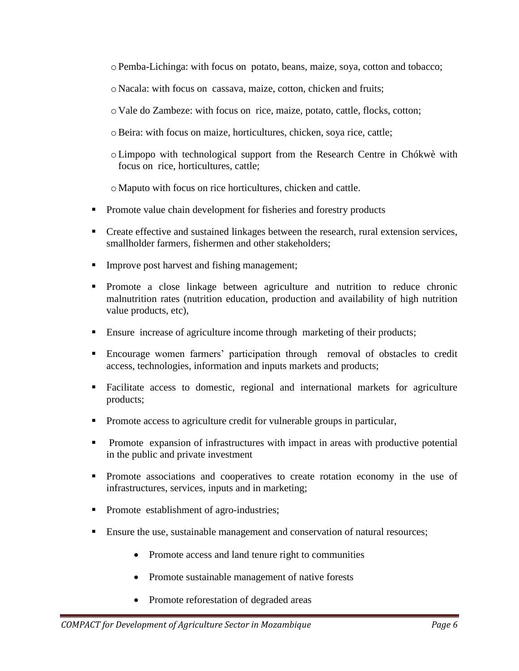- $\circ$  Pemba-Lichinga: with focus on potato, beans, maize, soya, cotton and tobacco;
- o Nacala: with focus on cassava, maize, cotton, chicken and fruits;
- o Vale do Zambeze: with focus on rice, maize, potato, cattle, flocks, cotton;
- oBeira: with focus on maize, horticultures, chicken, soya rice, cattle;
- oLimpopo with technological support from the Research Centre in Chókwè with focus on rice, horticultures, cattle;
- o Maputo with focus on rice horticultures, chicken and cattle.
- **Promote value chain development for fisheries and forestry products**
- **Create effective and sustained linkages between the research, rural extension services,** smallholder farmers, fishermen and other stakeholders;
- **Improve post harvest and fishing management;**
- Promote a close linkage between agriculture and nutrition to reduce chronic malnutrition rates (nutrition education, production and availability of high nutrition value products, etc),
- Ensure increase of agriculture income through marketing of their products;
- Encourage women farmers' participation through removal of obstacles to credit access, technologies, information and inputs markets and products;
- Facilitate access to domestic, regional and international markets for agriculture products;
- Promote access to agriculture credit for vulnerable groups in particular,
- **Promote** expansion of infrastructures with impact in areas with productive potential in the public and private investment
- Promote associations and cooperatives to create rotation economy in the use of infrastructures, services, inputs and in marketing;
- Promote establishment of agro-industries;
- **Ensure the use, sustainable management and conservation of natural resources;** 
	- Promote access and land tenure right to communities
	- Promote sustainable management of native forests
	- Promote reforestation of degraded areas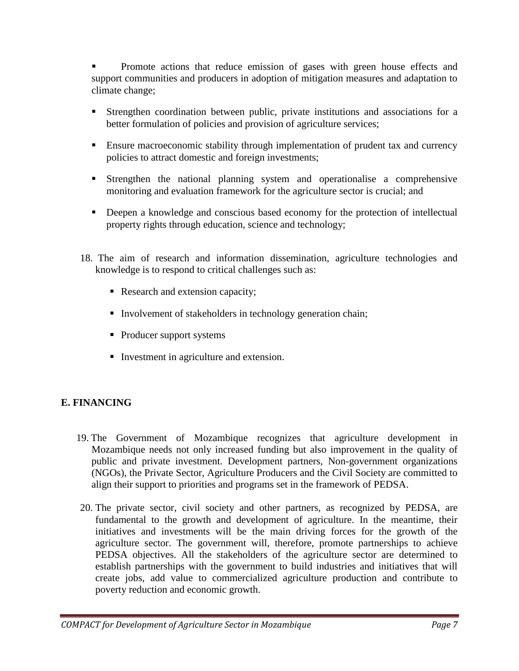Promote actions that reduce emission of gases with green house effects and support communities and producers in adoption of mitigation measures and adaptation to climate change;

- Strengthen coordination between public, private institutions and associations for a better formulation of policies and provision of agriculture services;
- **Ensure macroeconomic stability through implementation of prudent tax and currency** policies to attract domestic and foreign investments;
- Strengthen the national planning system and operationalise a comprehensive monitoring and evaluation framework for the agriculture sector is crucial; and
- **•** Deepen a knowledge and conscious based economy for the protection of intellectual property rights through education, science and technology;
- 18. The aim of research and information dissemination, agriculture technologies and knowledge is to respond to critical challenges such as:
	- Research and extension capacity;
	- Involvement of stakeholders in technology generation chain;
	- Producer support systems
	- Investment in agriculture and extension.

## **E. FINANCING**

- 19. The Government of Mozambique recognizes that agriculture development in Mozambique needs not only increased funding but also improvement in the quality of public and private investment. Development partners, Non-government organizations (NGOs), the Private Sector, Agriculture Producers and the Civil Society are committed to align their support to priorities and programs set in the framework of PEDSA.
- 20. The private sector, civil society and other partners, as recognized by PEDSA, are fundamental to the growth and development of agriculture. In the meantime, their initiatives and investments will be the main driving forces for the growth of the agriculture sector. The government will, therefore, promote partnerships to achieve PEDSA objectives. All the stakeholders of the agriculture sector are determined to establish partnerships with the government to build industries and initiatives that will create jobs, add value to commercialized agriculture production and contribute to poverty reduction and economic growth.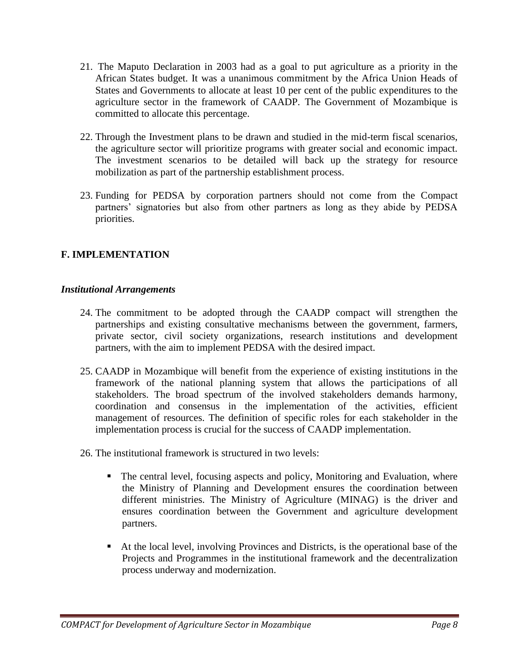- 21. The Maputo Declaration in 2003 had as a goal to put agriculture as a priority in the African States budget. It was a unanimous commitment by the Africa Union Heads of States and Governments to allocate at least 10 per cent of the public expenditures to the agriculture sector in the framework of CAADP. The Government of Mozambique is committed to allocate this percentage.
- 22. Through the Investment plans to be drawn and studied in the mid-term fiscal scenarios, the agriculture sector will prioritize programs with greater social and economic impact. The investment scenarios to be detailed will back up the strategy for resource mobilization as part of the partnership establishment process.
- 23. Funding for PEDSA by corporation partners should not come from the Compact partners' signatories but also from other partners as long as they abide by PEDSA priorities.

## **F. IMPLEMENTATION**

#### *Institutional Arrangements*

- 24. The commitment to be adopted through the CAADP compact will strengthen the partnerships and existing consultative mechanisms between the government, farmers, private sector, civil society organizations, research institutions and development partners, with the aim to implement PEDSA with the desired impact.
- 25. CAADP in Mozambique will benefit from the experience of existing institutions in the framework of the national planning system that allows the participations of all stakeholders. The broad spectrum of the involved stakeholders demands harmony, coordination and consensus in the implementation of the activities, efficient management of resources. The definition of specific roles for each stakeholder in the implementation process is crucial for the success of CAADP implementation.
- 26. The institutional framework is structured in two levels:
	- The central level, focusing aspects and policy, Monitoring and Evaluation, where the Ministry of Planning and Development ensures the coordination between different ministries. The Ministry of Agriculture (MINAG) is the driver and ensures coordination between the Government and agriculture development partners.
	- At the local level, involving Provinces and Districts, is the operational base of the Projects and Programmes in the institutional framework and the decentralization process underway and modernization.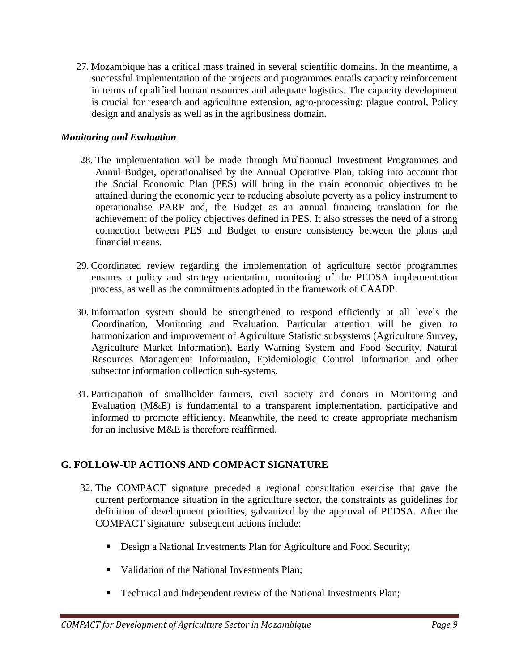27. Mozambique has a critical mass trained in several scientific domains. In the meantime, a successful implementation of the projects and programmes entails capacity reinforcement in terms of qualified human resources and adequate logistics. The capacity development is crucial for research and agriculture extension, agro-processing; plague control, Policy design and analysis as well as in the agribusiness domain.

#### *Monitoring and Evaluation*

- 28. The implementation will be made through Multiannual Investment Programmes and Annul Budget, operationalised by the Annual Operative Plan, taking into account that the Social Economic Plan (PES) will bring in the main economic objectives to be attained during the economic year to reducing absolute poverty as a policy instrument to operationalise PARP and, the Budget as an annual financing translation for the achievement of the policy objectives defined in PES. It also stresses the need of a strong connection between PES and Budget to ensure consistency between the plans and financial means.
- 29. Coordinated review regarding the implementation of agriculture sector programmes ensures a policy and strategy orientation, monitoring of the PEDSA implementation process, as well as the commitments adopted in the framework of CAADP.
- 30. Information system should be strengthened to respond efficiently at all levels the Coordination, Monitoring and Evaluation. Particular attention will be given to harmonization and improvement of Agriculture Statistic subsystems (Agriculture Survey, Agriculture Market Information), Early Warning System and Food Security, Natural Resources Management Information, Epidemiologic Control Information and other subsector information collection sub-systems.
- 31. Participation of smallholder farmers, civil society and donors in Monitoring and Evaluation (M&E) is fundamental to a transparent implementation, participative and informed to promote efficiency. Meanwhile, the need to create appropriate mechanism for an inclusive M&E is therefore reaffirmed.

## **G. FOLLOW-UP ACTIONS AND COMPACT SIGNATURE**

- 32. The COMPACT signature preceded a regional consultation exercise that gave the current performance situation in the agriculture sector, the constraints as guidelines for definition of development priorities, galvanized by the approval of PEDSA. After the COMPACT signature subsequent actions include:
	- Design a National Investments Plan for Agriculture and Food Security;
	- Validation of the National Investments Plan:
	- Technical and Independent review of the National Investments Plan;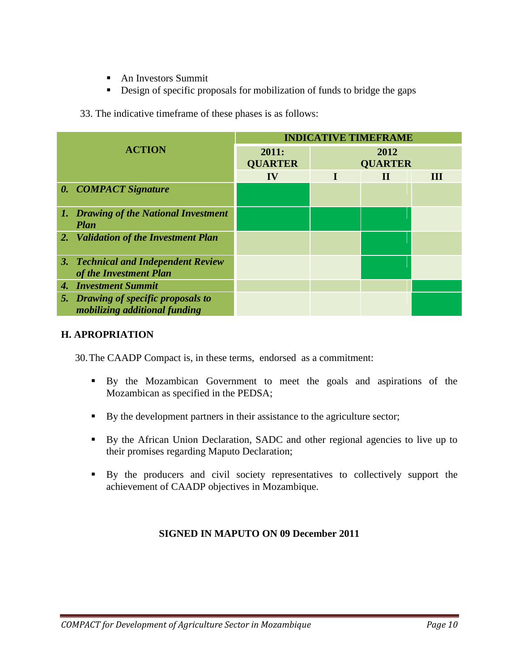- An Investors Summit
- Design of specific proposals for mobilization of funds to bridge the gaps

33. The indicative timeframe of these phases is as follows:

| <b>ACTION</b> |                                                                             | <b>INDICATIVE TIMEFRAME</b> |                        |             |   |  |
|---------------|-----------------------------------------------------------------------------|-----------------------------|------------------------|-------------|---|--|
|               |                                                                             | 2011:<br><b>QUARTER</b>     | 2012<br><b>QUARTER</b> |             |   |  |
|               |                                                                             | IV                          |                        | $\mathbf H$ | Ш |  |
|               | 0. COMPACT Signature                                                        |                             |                        |             |   |  |
|               | 1. Drawing of the National Investment<br>Plan                               |                             |                        |             |   |  |
|               | 2. Validation of the Investment Plan                                        |                             |                        |             |   |  |
|               | 3. Technical and Independent Review<br>of the Investment Plan               |                             |                        |             |   |  |
|               | 4. Investment Summit                                                        |                             |                        |             |   |  |
|               | 5. Drawing of specific proposals to<br><i>mobilizing additional funding</i> |                             |                        |             |   |  |

#### **H. APROPRIATION**

30.The CAADP Compact is, in these terms, endorsed as a commitment:

- By the Mozambican Government to meet the goals and aspirations of the Mozambican as specified in the PEDSA;
- By the development partners in their assistance to the agriculture sector;
- By the African Union Declaration, SADC and other regional agencies to live up to their promises regarding Maputo Declaration;
- By the producers and civil society representatives to collectively support the achievement of CAADP objectives in Mozambique.

#### **SIGNED IN MAPUTO ON 09 December 2011**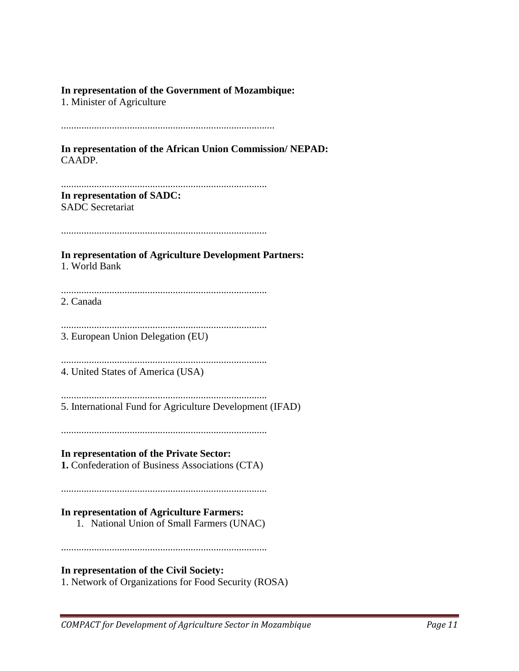#### **In representation of the Government of Mozambique:**

1. Minister of Agriculture

....................................................................................

**In representation of the African Union Commission/ NEPAD:** CAADP.

................................................................................. **In representation of SADC:** SADC Secretariat

.................................................................................

**In representation of Agriculture Development Partners:** 1. World Bank

................................................................................. 2. Canada

................................................................................. 3. European Union Delegation (EU)

.................................................................................

4. United States of America (USA)

................................................................................. 5. International Fund for Agriculture Development (IFAD)

.................................................................................

#### **In representation of the Private Sector:**

**1.** Confederation of Business Associations (CTA)

.................................................................................

#### **In representation of Agriculture Farmers:**

1. National Union of Small Farmers (UNAC)

.................................................................................

#### **In representation of the Civil Society:**

1. Network of Organizations for Food Security (ROSA)